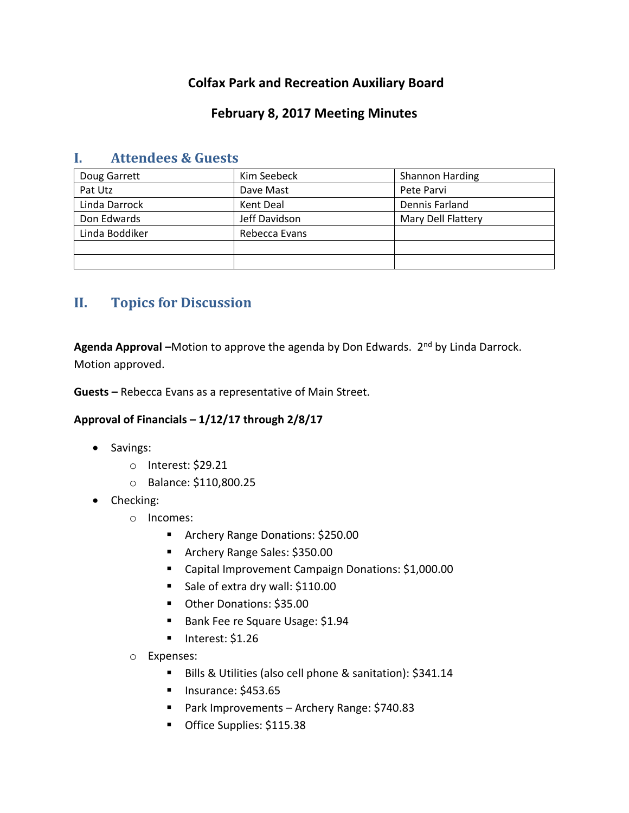# **Colfax Park and Recreation Auxiliary Board**

## **February 8, 2017 Meeting Minutes**

| Doug Garrett   | Kim Seebeck   | Shannon Harding    |
|----------------|---------------|--------------------|
| Pat Utz        | Dave Mast     | Pete Parvi         |
| Linda Darrock  | Kent Deal     | Dennis Farland     |
| Don Edwards    | Jeff Davidson | Mary Dell Flattery |
| Linda Boddiker | Rebecca Evans |                    |
|                |               |                    |
|                |               |                    |

### **I. Attendees & Guests**

# **II. Topics for Discussion**

Agenda Approval –Motion to approve the agenda by Don Edwards. 2<sup>nd</sup> by Linda Darrock. Motion approved.

**Guests –** Rebecca Evans as a representative of Main Street.

#### **Approval of Financials – 1/12/17 through 2/8/17**

- Savings:
	- o Interest: \$29.21
	- o Balance: \$110,800.25
- Checking:
	- o Incomes:
		- **Archery Range Donations: \$250.00**
		- **Archery Range Sales: \$350.00**
		- Capital Improvement Campaign Donations: \$1,000.00
		- Sale of extra dry wall: \$110.00
		- Other Donations: \$35.00
		- Bank Fee re Square Usage: \$1.94
		- $\blacksquare$  Interest: \$1.26
	- o Expenses:
		- Bills & Utilities (also cell phone & sanitation): \$341.14
		- **Insurance: \$453.65**
		- Park Improvements Archery Range: \$740.83
		- Office Supplies: \$115.38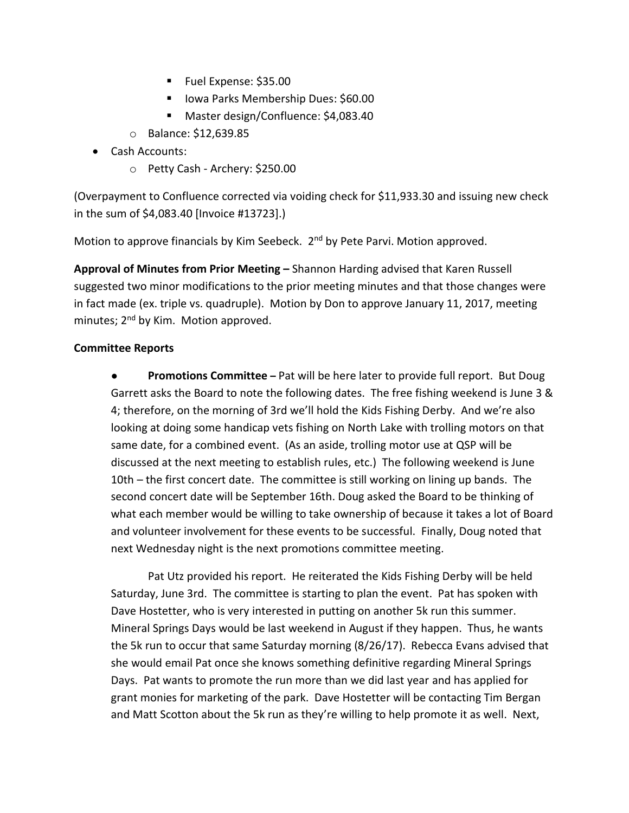- Fuel Expense: \$35.00
- Iowa Parks Membership Dues: \$60.00
- Master design/Confluence: \$4,083.40
- o Balance: \$12,639.85
- Cash Accounts:
	- o Petty Cash Archery: \$250.00

(Overpayment to Confluence corrected via voiding check for \$11,933.30 and issuing new check in the sum of \$4,083.40 [Invoice #13723].)

Motion to approve financials by Kim Seebeck. 2<sup>nd</sup> by Pete Parvi. Motion approved.

**Approval of Minutes from Prior Meeting –** Shannon Harding advised that Karen Russell suggested two minor modifications to the prior meeting minutes and that those changes were in fact made (ex. triple vs. quadruple). Motion by Don to approve January 11, 2017, meeting minutes; 2<sup>nd</sup> by Kim. Motion approved.

#### **Committee Reports**

● **Promotions Committee –** Pat will be here later to provide full report. But Doug Garrett asks the Board to note the following dates. The free fishing weekend is June 3 & 4; therefore, on the morning of 3rd we'll hold the Kids Fishing Derby. And we're also looking at doing some handicap vets fishing on North Lake with trolling motors on that same date, for a combined event. (As an aside, trolling motor use at QSP will be discussed at the next meeting to establish rules, etc.) The following weekend is June 10th – the first concert date. The committee is still working on lining up bands. The second concert date will be September 16th. Doug asked the Board to be thinking of what each member would be willing to take ownership of because it takes a lot of Board and volunteer involvement for these events to be successful. Finally, Doug noted that next Wednesday night is the next promotions committee meeting.

Pat Utz provided his report. He reiterated the Kids Fishing Derby will be held Saturday, June 3rd. The committee is starting to plan the event. Pat has spoken with Dave Hostetter, who is very interested in putting on another 5k run this summer. Mineral Springs Days would be last weekend in August if they happen. Thus, he wants the 5k run to occur that same Saturday morning (8/26/17). Rebecca Evans advised that she would email Pat once she knows something definitive regarding Mineral Springs Days. Pat wants to promote the run more than we did last year and has applied for grant monies for marketing of the park. Dave Hostetter will be contacting Tim Bergan and Matt Scotton about the 5k run as they're willing to help promote it as well. Next,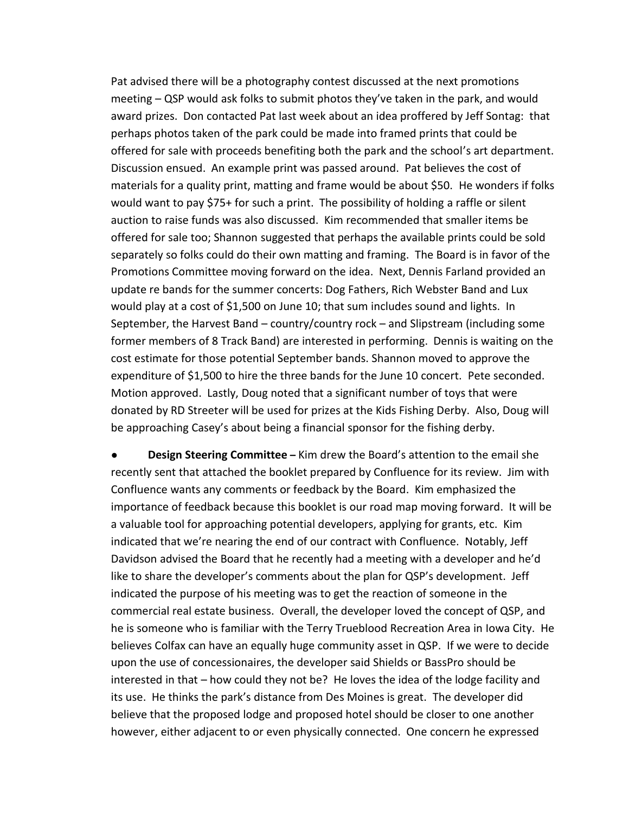Pat advised there will be a photography contest discussed at the next promotions meeting – QSP would ask folks to submit photos they've taken in the park, and would award prizes. Don contacted Pat last week about an idea proffered by Jeff Sontag: that perhaps photos taken of the park could be made into framed prints that could be offered for sale with proceeds benefiting both the park and the school's art department. Discussion ensued. An example print was passed around. Pat believes the cost of materials for a quality print, matting and frame would be about \$50. He wonders if folks would want to pay \$75+ for such a print. The possibility of holding a raffle or silent auction to raise funds was also discussed. Kim recommended that smaller items be offered for sale too; Shannon suggested that perhaps the available prints could be sold separately so folks could do their own matting and framing. The Board is in favor of the Promotions Committee moving forward on the idea. Next, Dennis Farland provided an update re bands for the summer concerts: Dog Fathers, Rich Webster Band and Lux would play at a cost of \$1,500 on June 10; that sum includes sound and lights. In September, the Harvest Band – country/country rock – and Slipstream (including some former members of 8 Track Band) are interested in performing. Dennis is waiting on the cost estimate for those potential September bands. Shannon moved to approve the expenditure of \$1,500 to hire the three bands for the June 10 concert. Pete seconded. Motion approved. Lastly, Doug noted that a significant number of toys that were donated by RD Streeter will be used for prizes at the Kids Fishing Derby. Also, Doug will be approaching Casey's about being a financial sponsor for the fishing derby.

**Design Steering Committee** – Kim drew the Board's attention to the email she recently sent that attached the booklet prepared by Confluence for its review. Jim with Confluence wants any comments or feedback by the Board. Kim emphasized the importance of feedback because this booklet is our road map moving forward. It will be a valuable tool for approaching potential developers, applying for grants, etc. Kim indicated that we're nearing the end of our contract with Confluence. Notably, Jeff Davidson advised the Board that he recently had a meeting with a developer and he'd like to share the developer's comments about the plan for QSP's development. Jeff indicated the purpose of his meeting was to get the reaction of someone in the commercial real estate business. Overall, the developer loved the concept of QSP, and he is someone who is familiar with the Terry Trueblood Recreation Area in Iowa City. He believes Colfax can have an equally huge community asset in QSP. If we were to decide upon the use of concessionaires, the developer said Shields or BassPro should be interested in that – how could they not be? He loves the idea of the lodge facility and its use. He thinks the park's distance from Des Moines is great. The developer did believe that the proposed lodge and proposed hotel should be closer to one another however, either adjacent to or even physically connected. One concern he expressed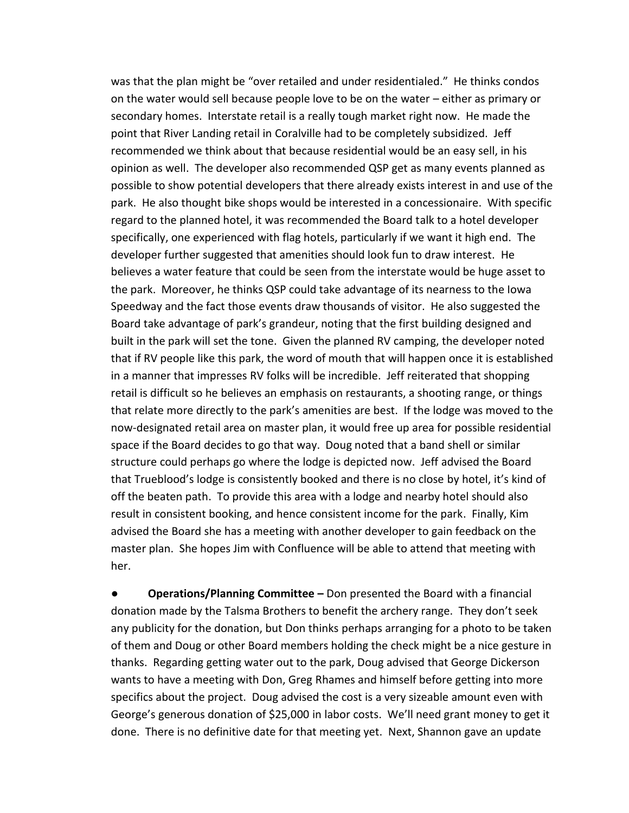was that the plan might be "over retailed and under residentialed." He thinks condos on the water would sell because people love to be on the water – either as primary or secondary homes. Interstate retail is a really tough market right now. He made the point that River Landing retail in Coralville had to be completely subsidized. Jeff recommended we think about that because residential would be an easy sell, in his opinion as well. The developer also recommended QSP get as many events planned as possible to show potential developers that there already exists interest in and use of the park. He also thought bike shops would be interested in a concessionaire. With specific regard to the planned hotel, it was recommended the Board talk to a hotel developer specifically, one experienced with flag hotels, particularly if we want it high end. The developer further suggested that amenities should look fun to draw interest. He believes a water feature that could be seen from the interstate would be huge asset to the park. Moreover, he thinks QSP could take advantage of its nearness to the Iowa Speedway and the fact those events draw thousands of visitor. He also suggested the Board take advantage of park's grandeur, noting that the first building designed and built in the park will set the tone. Given the planned RV camping, the developer noted that if RV people like this park, the word of mouth that will happen once it is established in a manner that impresses RV folks will be incredible. Jeff reiterated that shopping retail is difficult so he believes an emphasis on restaurants, a shooting range, or things that relate more directly to the park's amenities are best. If the lodge was moved to the now-designated retail area on master plan, it would free up area for possible residential space if the Board decides to go that way. Doug noted that a band shell or similar structure could perhaps go where the lodge is depicted now. Jeff advised the Board that Trueblood's lodge is consistently booked and there is no close by hotel, it's kind of off the beaten path. To provide this area with a lodge and nearby hotel should also result in consistent booking, and hence consistent income for the park. Finally, Kim advised the Board she has a meeting with another developer to gain feedback on the master plan. She hopes Jim with Confluence will be able to attend that meeting with her.

**● Operations/Planning Committee –** Don presented the Board with a financial donation made by the Talsma Brothers to benefit the archery range. They don't seek any publicity for the donation, but Don thinks perhaps arranging for a photo to be taken of them and Doug or other Board members holding the check might be a nice gesture in thanks. Regarding getting water out to the park, Doug advised that George Dickerson wants to have a meeting with Don, Greg Rhames and himself before getting into more specifics about the project. Doug advised the cost is a very sizeable amount even with George's generous donation of \$25,000 in labor costs. We'll need grant money to get it done. There is no definitive date for that meeting yet. Next, Shannon gave an update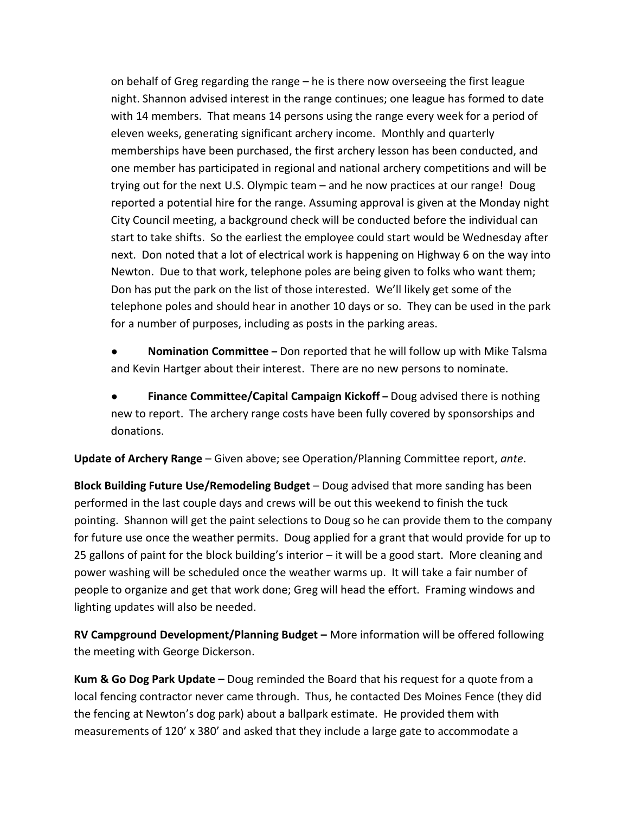on behalf of Greg regarding the range – he is there now overseeing the first league night. Shannon advised interest in the range continues; one league has formed to date with 14 members. That means 14 persons using the range every week for a period of eleven weeks, generating significant archery income. Monthly and quarterly memberships have been purchased, the first archery lesson has been conducted, and one member has participated in regional and national archery competitions and will be trying out for the next U.S. Olympic team – and he now practices at our range! Doug reported a potential hire for the range. Assuming approval is given at the Monday night City Council meeting, a background check will be conducted before the individual can start to take shifts. So the earliest the employee could start would be Wednesday after next. Don noted that a lot of electrical work is happening on Highway 6 on the way into Newton. Due to that work, telephone poles are being given to folks who want them; Don has put the park on the list of those interested. We'll likely get some of the telephone poles and should hear in another 10 days or so. They can be used in the park for a number of purposes, including as posts in the parking areas.

● **Nomination Committee –** Don reported that he will follow up with Mike Talsma and Kevin Hartger about their interest. There are no new persons to nominate.

● **Finance Committee/Capital Campaign Kickoff –** Doug advised there is nothing new to report. The archery range costs have been fully covered by sponsorships and donations.

**Update of Archery Range** – Given above; see Operation/Planning Committee report, *ante*.

**Block Building Future Use/Remodeling Budget** – Doug advised that more sanding has been performed in the last couple days and crews will be out this weekend to finish the tuck pointing. Shannon will get the paint selections to Doug so he can provide them to the company for future use once the weather permits. Doug applied for a grant that would provide for up to 25 gallons of paint for the block building's interior – it will be a good start. More cleaning and power washing will be scheduled once the weather warms up. It will take a fair number of people to organize and get that work done; Greg will head the effort. Framing windows and lighting updates will also be needed.

**RV Campground Development/Planning Budget –** More information will be offered following the meeting with George Dickerson.

**Kum & Go Dog Park Update –** Doug reminded the Board that his request for a quote from a local fencing contractor never came through. Thus, he contacted Des Moines Fence (they did the fencing at Newton's dog park) about a ballpark estimate. He provided them with measurements of 120' x 380' and asked that they include a large gate to accommodate a